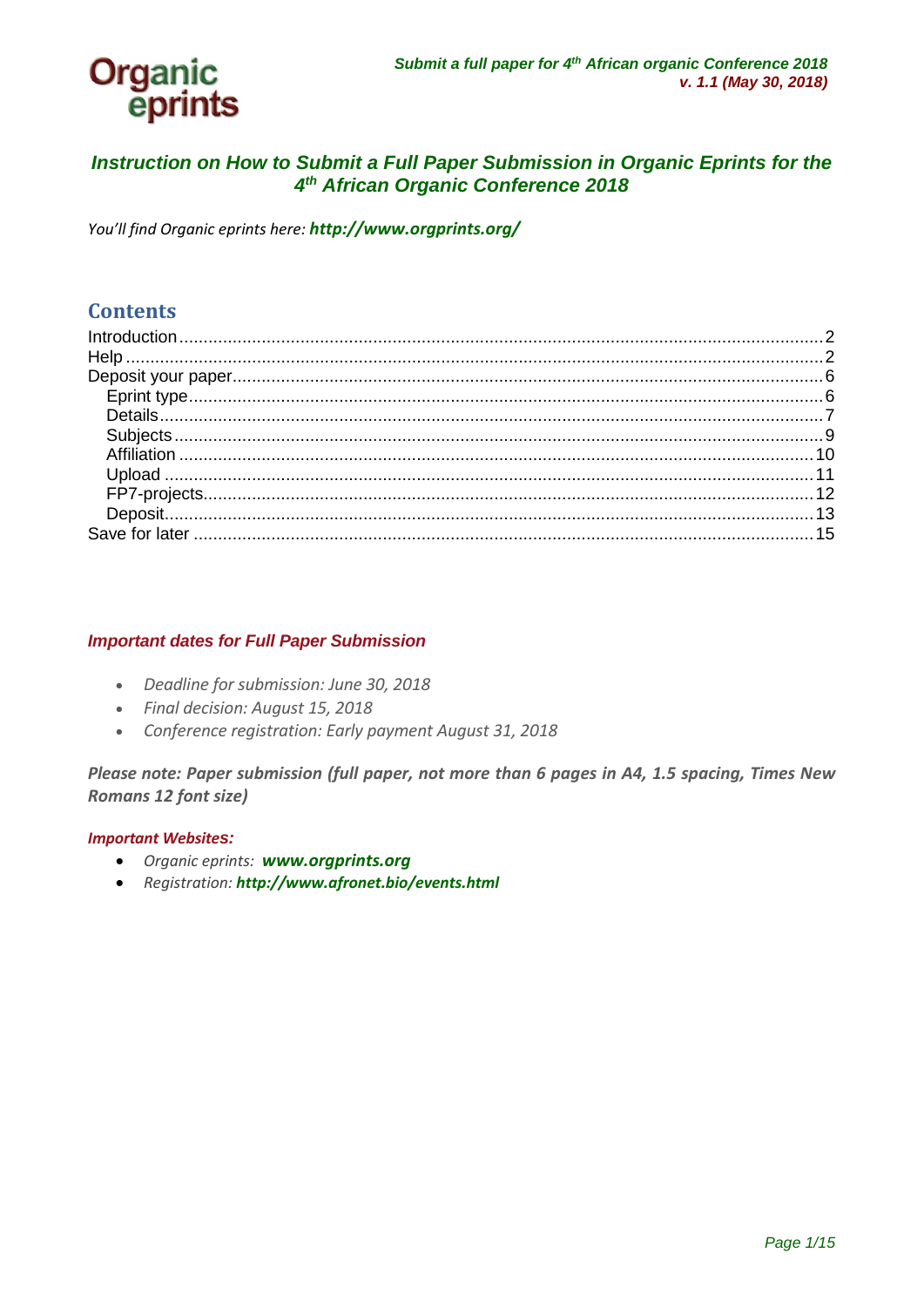

### *Instruction on How to Submit a Full Paper Submission in Organic Eprints for the 4th African Organic Conference 2018*

*You'll find Organic eprints here: <http://www.orgprints.org/>*

### **Contents**

#### *Important dates for Full Paper Submission*

- *Deadline for submission: June 30, 2018*
- *Final decision: August 15, 2018*
- *Conference registration: Early payment August 31, 2018*

*Please note: Paper submission (full paper, not more than 6 pages in A4, 1.5 spacing, Times New Romans 12 font size)*

#### *Important Websites:*

- *Organic eprints: [www.orgprints.org](http://www.orgprints.org/)*
- *Registration: <http://www.afronet.bio/events.html>*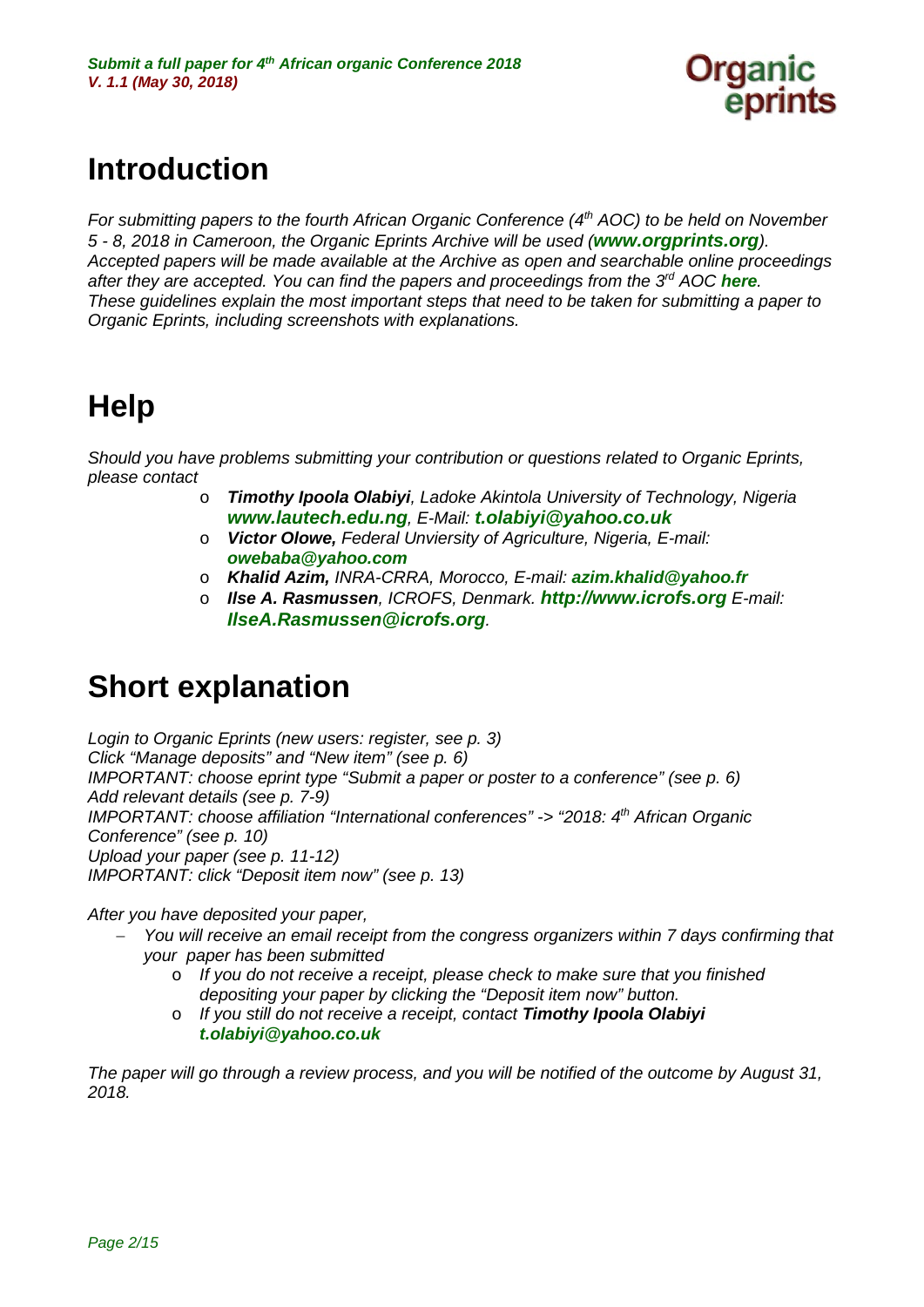

# <span id="page-1-0"></span>**Introduction**

*For submitting papers to the fourth African Organic Conference (4<sup>th</sup> AOC) to be held on November 5 - 8, 2018 in Cameroon, the Organic Eprints Archive will be used ([www.orgprints.org](http://www.orgprints.org/)). Accepted papers will be made available at the Archive as open and searchable online proceedings after they are accepted. You can find the papers and proceedings from the 3rd AOC [here](http://orgprints.org/view/projects/int-conf-aoc-2015.html). These guidelines explain the most important steps that need to be taken for submitting a paper to Organic Eprints, including screenshots with explanations.* 

# <span id="page-1-1"></span>**Help**

*Should you have problems submitting your contribution or questions related to Organic Eprints, please contact*

- o *Timothy Ipoola Olabiyi, Ladoke Akintola University of Technology, Nigeria [www.lautech.edu.ng](http://www.lautech.edu.ng/), E-Mail: [t.olabiyi@yahoo.co.uk](mailto:t.olabiyi@yahoo.co.uk)*
- o *Victor Olowe, Federal Unviersity of Agriculture, Nigeria, E-mail: [owebaba@yahoo.com](mailto:owebaba@yahoo.com)*
- o *Khalid Azim, INRA-CRRA, Morocco, E-mail: [azim.khalid@yahoo.fr](mailto:azim.khalid@yahoo.fr)*
- o *Ilse A. Rasmussen, ICROFS, Denmark. [http://www.icrofs.org](http://www.icrofs.org/) E-mail: [IlseA.Rasmussen@icrofs.org](mailto:IlseA.Rasmussen@icrofs.org).*

## **Short explanation**

*Login to Organic Eprints (new users: register, see p. 3) Click "Manage deposits" and "New item" (see p. 6) IMPORTANT: choose eprint type "Submit a paper or poster to a conference" (see p. 6) Add relevant details (see p. 7-9) IMPORTANT: choose affiliation "International conferences" -> "2018: 4th African Organic Conference" (see p. 10) Upload your paper (see p. 11-12) IMPORTANT: click "Deposit item now" (see p. 13)*

*After you have deposited your paper,* 

- − *You will receive an email receipt from the congress organizers within 7 days confirming that your paper has been submitted*
	- o *If you do not receive a receipt, please check to make sure that you finished depositing your paper by clicking the "Deposit item now" button.*
	- o *If you still do not receive a receipt, contact Timothy Ipoola Olabiyi [t.olabiyi@yahoo.co.uk](mailto:t.olabiyi@yahoo.co.uk-)*

*The paper will go through a review process, and you will be notified of the outcome by August 31, 2018.*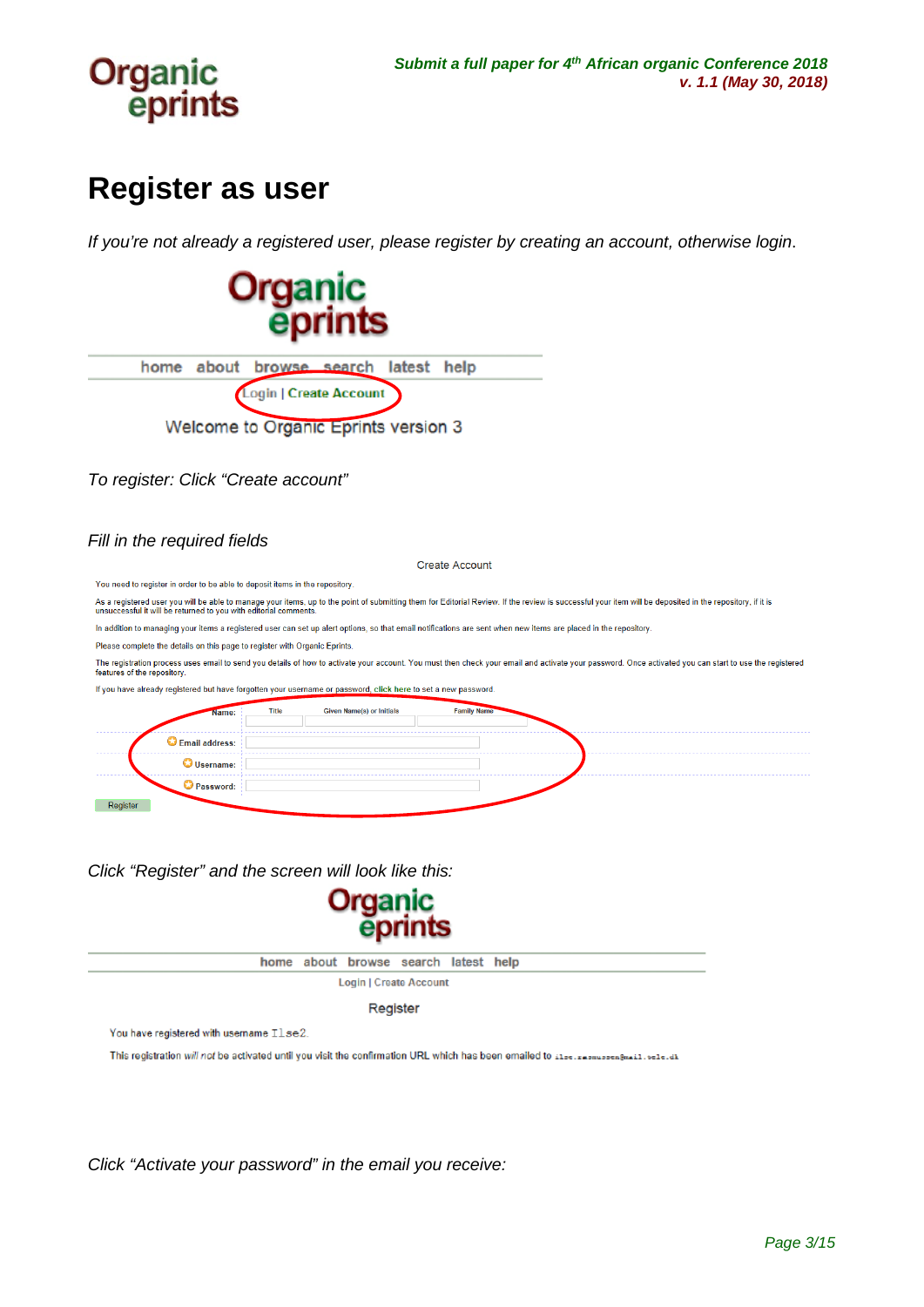

## **Register as user**

*If you're not already a registered user, please register by creating an account, otherwise login*.

**Organic** eprints home about browse search latest help Login | Create Account Welcome to Organic Eprints version 3 *To register: Click "Create account" Fill in the required fields* **Create Account** You need to register in order to be able to deposit items in the repository. As a registered user you will be able to manage your items, up to the point of submitting them for Editorial Review. If the review is successful your item will be deposited in the repository, if it is<br>unsuccessful it will In addition to managing your items a registered user can set up alert options, so that email notifications are sent when new items are placed in the repository Please complete the details on this page to register with Organic Eprints The registration process uses email to send you details of how to activate your account. You must then check your email and activate your password. Once activated you can start to use the registered features of the repository If you have already registered but have forgotten your username or password, click here to set a new password. Title Given Name(s) or Initials Family Vame **O** Email address: Username: Password: Register

*Click "Register" and the screen will look like this:*



home about browse search latest help

Login | Create Account

Register

You have registered with username Ilse2

This registration will not be activated until you visit the confirmation URL which has been emailed to itsets assussement in the left

*Click "Activate your password" in the email you receive:*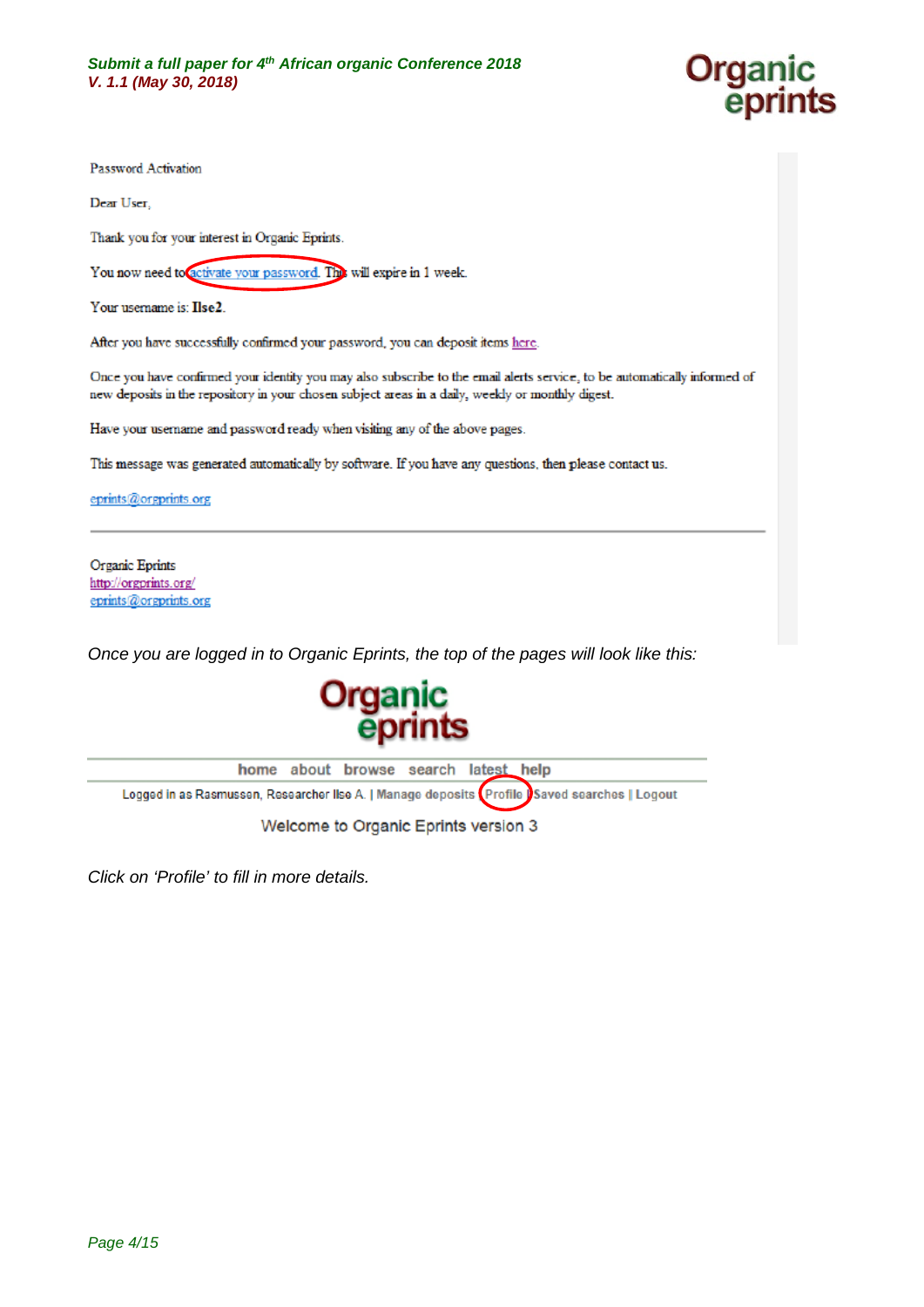

Password Activation

Dear User,

Thank you for your interest in Organic Eprints.

You now need to activate your password. The will expire in 1 week.

Your usemame is: Ilse2.

After you have successfully confirmed your password, you can deposit items here.

Once you have confirmed your identity you may also subscribe to the email alerts service, to be automatically informed of new deposits in the repository in your chosen subject areas in a daily, weekly or monthly digest.

Have your username and password ready when visiting any of the above pages.

This message was generated automatically by software. If you have any questions, then please contact us.

eprints@orgprints.org

Organic Eprints http://orgprints.org/ eprints@orgprints.org

*Once you are logged in to Organic Eprints, the top of the pages will look like this:*



Welcome to Organic Eprints version 3

*Click on 'Profile' to fill in more details.*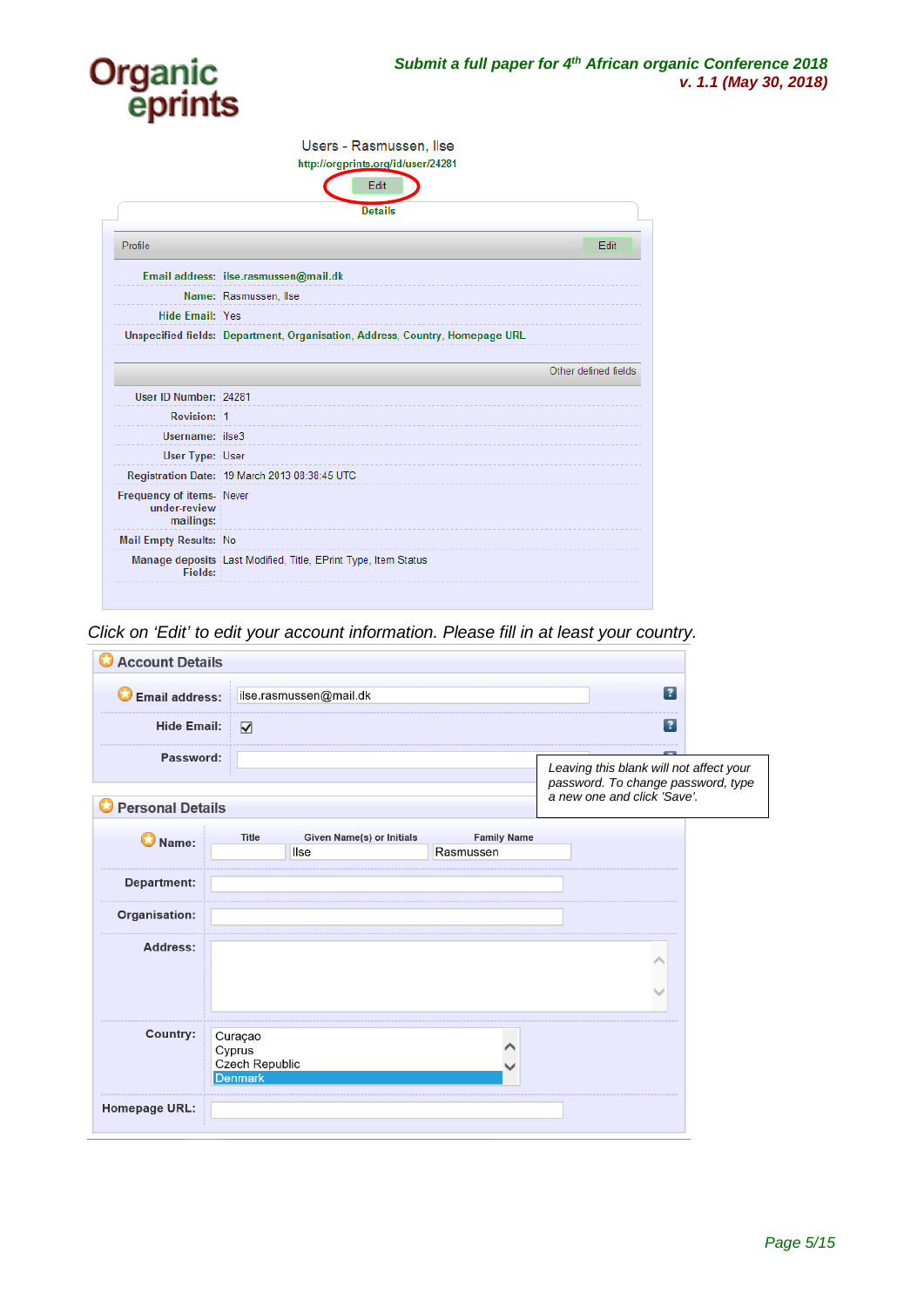

|                                                       | Users - Rasmussen, Ilse<br>http://orgprints.org/id/user/24281                |
|-------------------------------------------------------|------------------------------------------------------------------------------|
|                                                       | Edit                                                                         |
|                                                       | <b>Details</b>                                                               |
| Profile                                               | Edit                                                                         |
|                                                       | Email address: ilse.rasmussen@mail.dk                                        |
|                                                       | Name: Rasmussen, Ilse                                                        |
| <b>Hide Email: Yes</b>                                |                                                                              |
|                                                       | Unspecified fields: Department, Organisation, Address, Country, Homepage URL |
|                                                       |                                                                              |
|                                                       | Other defined fields                                                         |
| User ID Number: 24281                                 |                                                                              |
| Revision: 1                                           |                                                                              |
| Username: ilse3                                       |                                                                              |
| User Type: User                                       |                                                                              |
|                                                       | Registration Date: 19 March 2013 08:38:45 UTC                                |
| Frequency of items-Never<br>under-review<br>mailings: |                                                                              |
| <b>Mail Empty Results: No</b>                         |                                                                              |
| Fields:                                               | Manage deposits Last Modified, Title, EPrint Type, Item Status               |

*Click on 'Edit' to edit your account information. Please fill in at least your country.*

| <b>Account Details</b><br>ω |                                                              |                                   |                                 |                                                                                                              |  |
|-----------------------------|--------------------------------------------------------------|-----------------------------------|---------------------------------|--------------------------------------------------------------------------------------------------------------|--|
| <b>Email address:</b>       |                                                              | ilse.rasmussen@mail dk            |                                 | $\lceil$ ?                                                                                                   |  |
| <b>Hide Email:</b>          | $\overline{\mathbf{v}}$                                      |                                   |                                 | $\vert$ ?                                                                                                    |  |
| Password:                   |                                                              |                                   |                                 | Leaving this blank will not affect your<br>password. To change password, type<br>a new one and click 'Save'. |  |
| <b>O</b> Personal Details   |                                                              |                                   |                                 |                                                                                                              |  |
| $\bigcirc$ Name:            | <b>Title</b>                                                 | Given Name(s) or Initials<br>llse | <b>Family Name</b><br>Rasmussen |                                                                                                              |  |
| <b>Department:</b>          |                                                              |                                   |                                 |                                                                                                              |  |
| Organisation:               |                                                              |                                   |                                 |                                                                                                              |  |
| Address:                    |                                                              |                                   |                                 |                                                                                                              |  |
|                             |                                                              |                                   |                                 |                                                                                                              |  |
| <b>Country:</b>             | Curaçao<br>Cyprus<br><b>Czech Republic</b><br><b>Denmark</b> |                                   |                                 |                                                                                                              |  |
| <b>Homepage URL:</b>        |                                                              |                                   |                                 |                                                                                                              |  |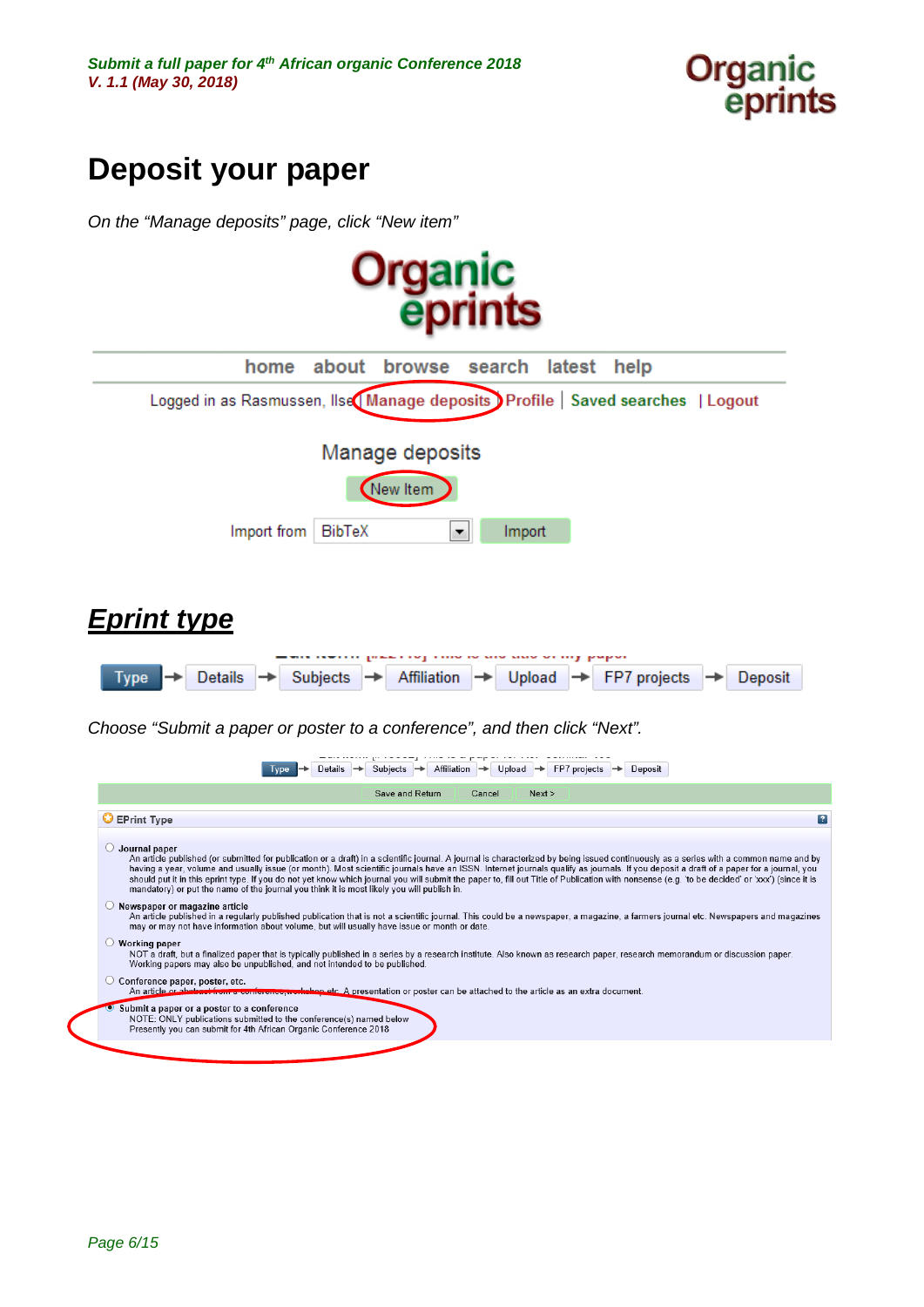

# <span id="page-5-0"></span>**Deposit your paper**

*On the "Manage deposits" page, click "New item"*

<span id="page-5-1"></span>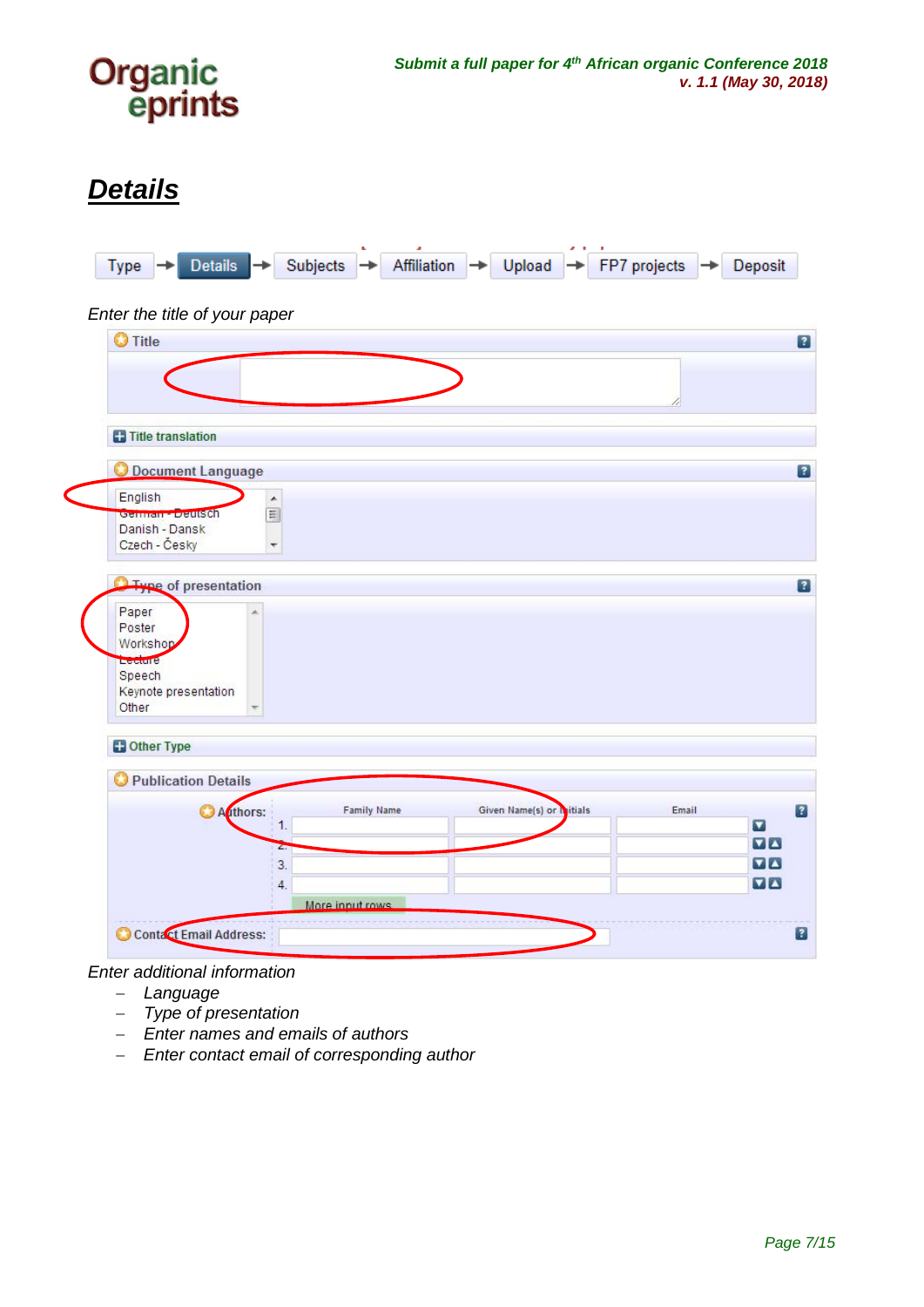

## <span id="page-6-0"></span>*Details*



*Enter additional information* 

- − *Language*
- − *Type of presentation*
- − *Enter names and emails of authors*
- − *Enter contact email of corresponding author*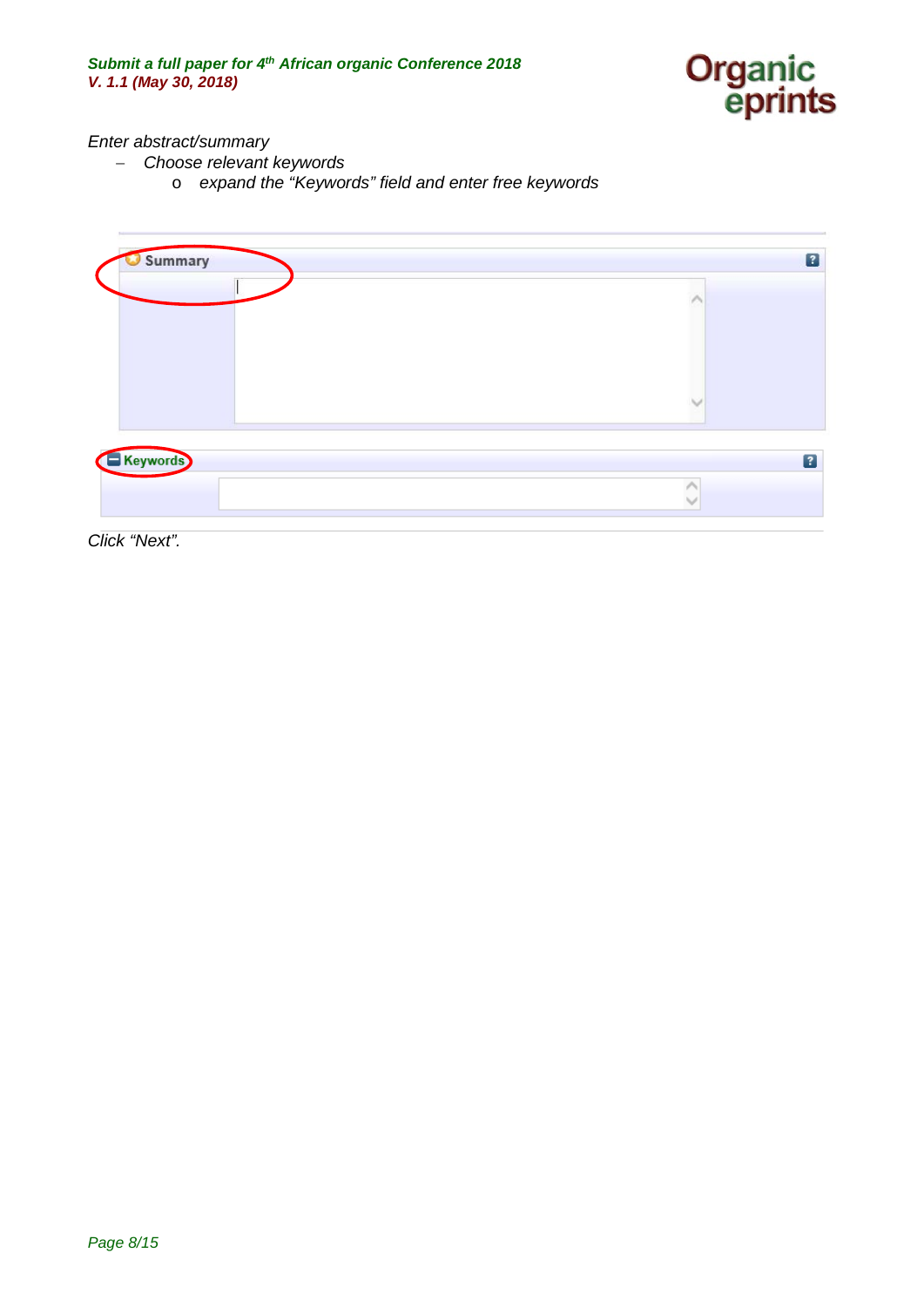

### *Enter abstract/summary*

- − *Choose relevant keywords* 
	- o *expand the "Keywords" field and enter free keywords*



*Click "Next".*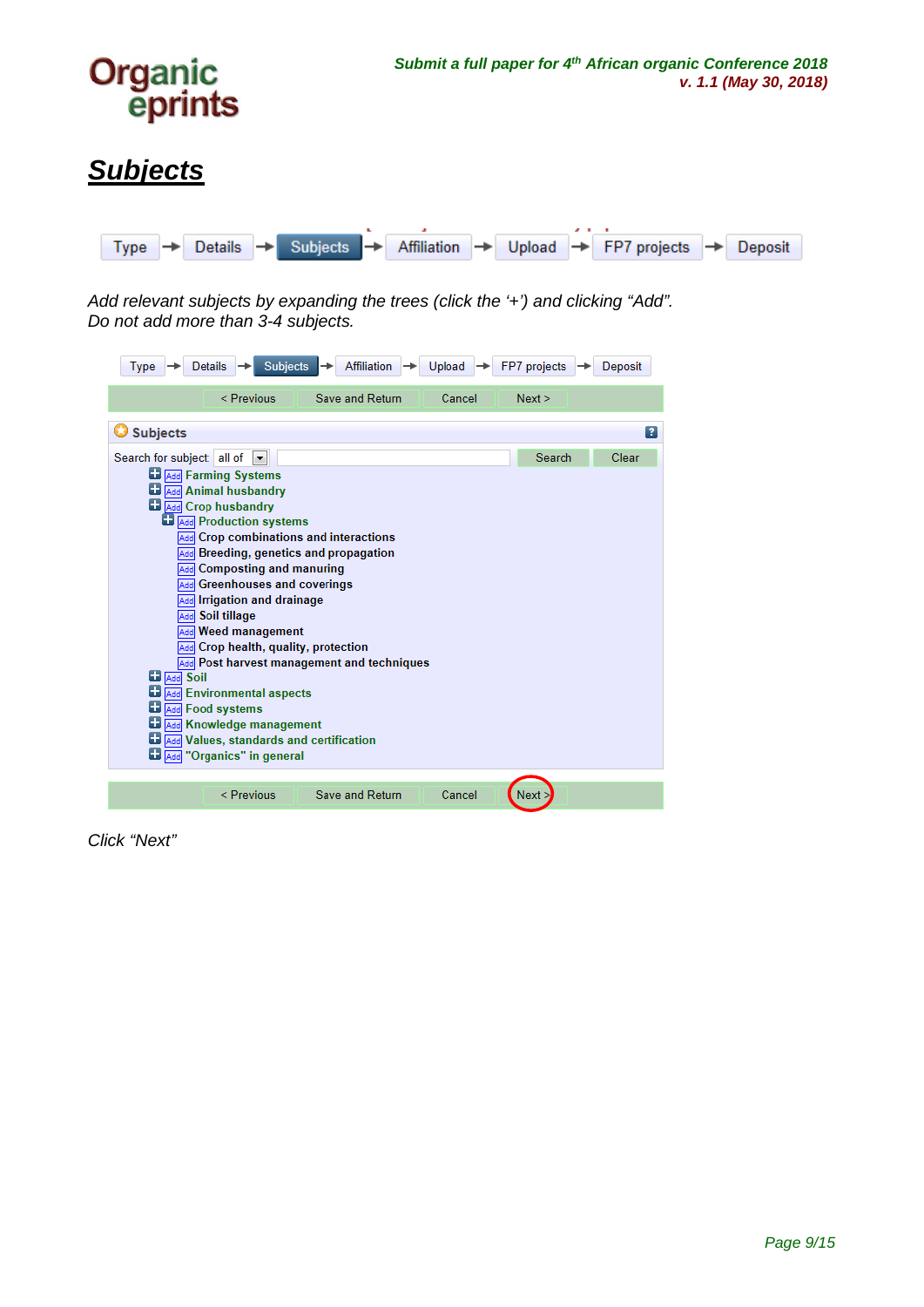

## <span id="page-8-0"></span>*Subjects*



*Add relevant subjects by expanding the trees (click the '+') and clicking "Add". Do not add more than 3-4 subjects.*

| <b>Subjects</b><br><b>Affiliation</b><br><b>Details</b><br>Type                                                                                                                                                                                                                                                                                                                                                                                                                                                                                                                                                                                                                                                   | Upload | FP7 projects | Deposit        |
|-------------------------------------------------------------------------------------------------------------------------------------------------------------------------------------------------------------------------------------------------------------------------------------------------------------------------------------------------------------------------------------------------------------------------------------------------------------------------------------------------------------------------------------------------------------------------------------------------------------------------------------------------------------------------------------------------------------------|--------|--------------|----------------|
| < Previous<br>Save and Return                                                                                                                                                                                                                                                                                                                                                                                                                                                                                                                                                                                                                                                                                     | Cancel | Next >       |                |
| <b>Subjects</b>                                                                                                                                                                                                                                                                                                                                                                                                                                                                                                                                                                                                                                                                                                   |        |              | $\overline{?}$ |
| Search for subject: all of<br><b>Add</b> Farming Systems<br><b>D</b> Add Animal husbandry<br><b>Ed Add</b> Crop husbandry<br><b>Add</b> Production systems<br><b>Add</b> Crop combinations and interactions<br>Add Breeding, genetics and propagation<br><b>Add</b> Composting and manuring<br><b>Add</b> Greenhouses and coverings<br>Add Irrigation and drainage<br>Add Soil tillage<br><b>Add</b> Weed management<br>Add Crop health, quality, protection<br><b>Add</b> Post harvest management and techniques<br><b>La</b> Add Soil<br><b>Add</b> Environmental aspects<br><b>D</b> Add Food systems<br>Add Knowledge management<br>ш<br>Add Values, standards and certification<br>Add "Organics" in general |        | Search       | Clear          |
| <b>Save and Return</b><br>< Previous                                                                                                                                                                                                                                                                                                                                                                                                                                                                                                                                                                                                                                                                              | Cancel | Next         |                |

*Click "Next"*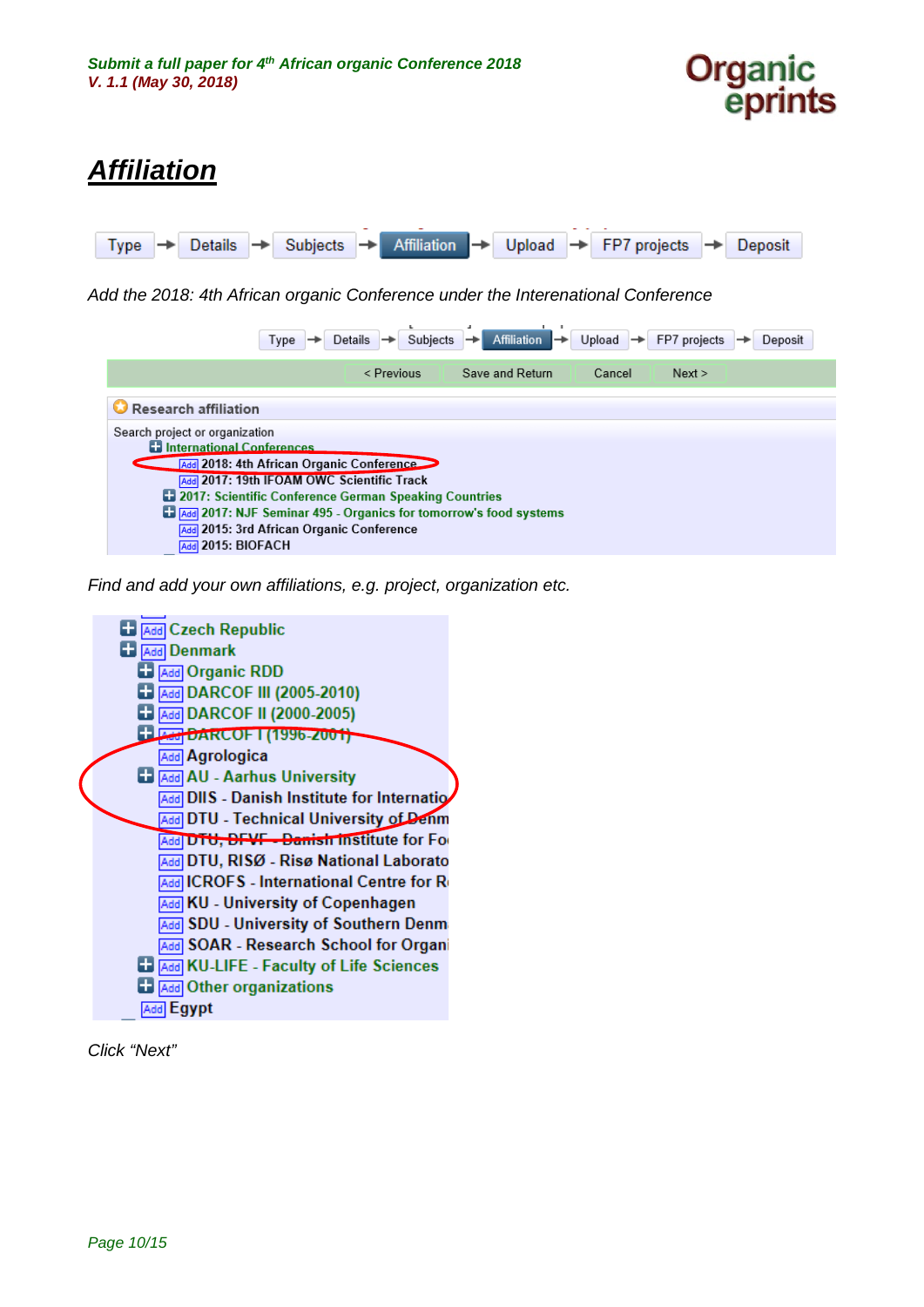

## <span id="page-9-0"></span>*Affiliation*



*Add the 2018: 4th African organic Conference under the Interenational Conference*

| <b>Type</b>                                                                                                                                                                                                                                                                                                                                                         | Subjects<br>Details | Affiliation <b>D</b> | Upload | $\rightarrow$ FP7 projects | Deposit |
|---------------------------------------------------------------------------------------------------------------------------------------------------------------------------------------------------------------------------------------------------------------------------------------------------------------------------------------------------------------------|---------------------|----------------------|--------|----------------------------|---------|
|                                                                                                                                                                                                                                                                                                                                                                     | < Previous          | Save and Return      | Cancel | Next >                     |         |
| Research affiliation                                                                                                                                                                                                                                                                                                                                                |                     |                      |        |                            |         |
| Search project or organization<br><b>El International Conferences</b><br><b>Add</b> 2018: 4th African Organic Conference<br>Add 2017: 19th IFOAM OWC Scientific Track<br>2017: Scientific Conference German Speaking Countries<br>Add 2017: NJF Seminar 495 - Organics for tomorrow's food systems<br>Add 2015: 3rd African Organic Conference<br>Add 2015: BIOFACH |                     |                      |        |                            |         |

*Find and add your own affiliations, e.g. project, organization etc.*



*Click "Next"*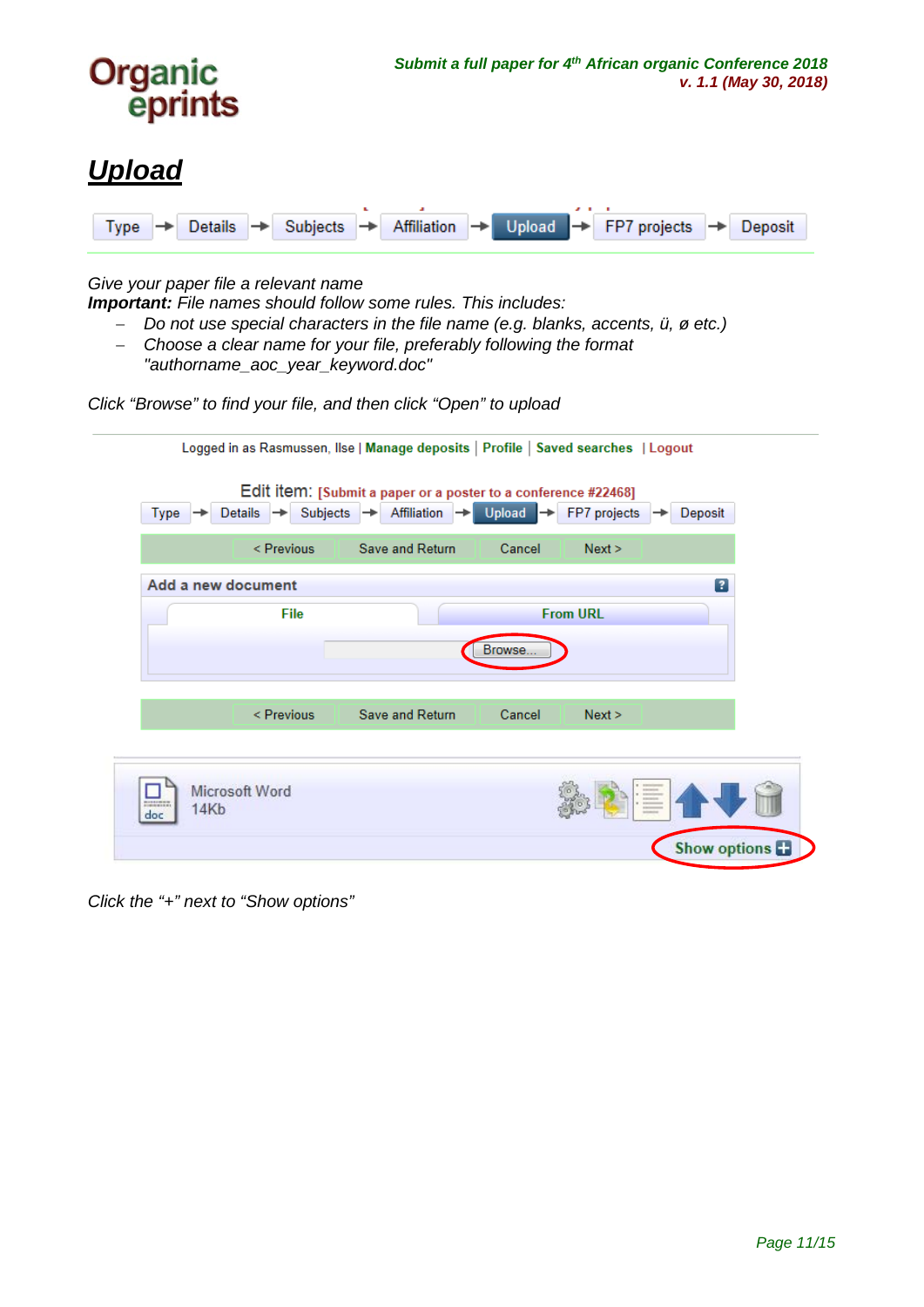

Affiliation  $\rightarrow$ 

FP7 projects

Deposit

### *Give your paper file a relevant name*

Details  $\rightarrow$ 

<span id="page-10-0"></span> $Type \rightarrow$ 

*Important: File names should follow some rules. This includes:* 

Subjects

- − *Do not use special characters in the file name (e.g. blanks, accents, ü, ø etc.)*
- − *Choose a clear name for your file, preferably following the format "authorname\_aoc\_year\_keyword.doc"*

*Click "Browse" to find your file, and then click "Open" to upload*

|                                             |                            | Logged in as Rasmussen, Ilse   Manage deposits   Profile   Saved searches   Logout               |                      |                                             |                         |
|---------------------------------------------|----------------------------|--------------------------------------------------------------------------------------------------|----------------------|---------------------------------------------|-------------------------|
| Type                                        | Subjects<br><b>Details</b> | Edit item: [Submit a paper or a poster to a conference #22468]<br>Affiliation →<br>$\rightarrow$ | $Upload \rightarrow$ | FP7 projects                                | Deposit                 |
|                                             | < Previous                 | Save and Return                                                                                  | Cancel               | Next                                        |                         |
| Add a new document                          |                            |                                                                                                  |                      |                                             | $\overline{\mathbf{r}}$ |
|                                             | File                       |                                                                                                  |                      | <b>From URL</b>                             |                         |
|                                             |                            |                                                                                                  | Browse               |                                             |                         |
|                                             | < Previous                 | Save and Return                                                                                  | Cancel               | Next                                        |                         |
| <b>RISTERING</b><br>14 <sub>Kb</sub><br>doc | <b>Microsoft Word</b>      |                                                                                                  |                      | 1 productions<br><b>ASSESSED</b><br>$-1000$ |                         |
|                                             |                            |                                                                                                  |                      |                                             | Show options            |

*Click the "+" next to "Show options"*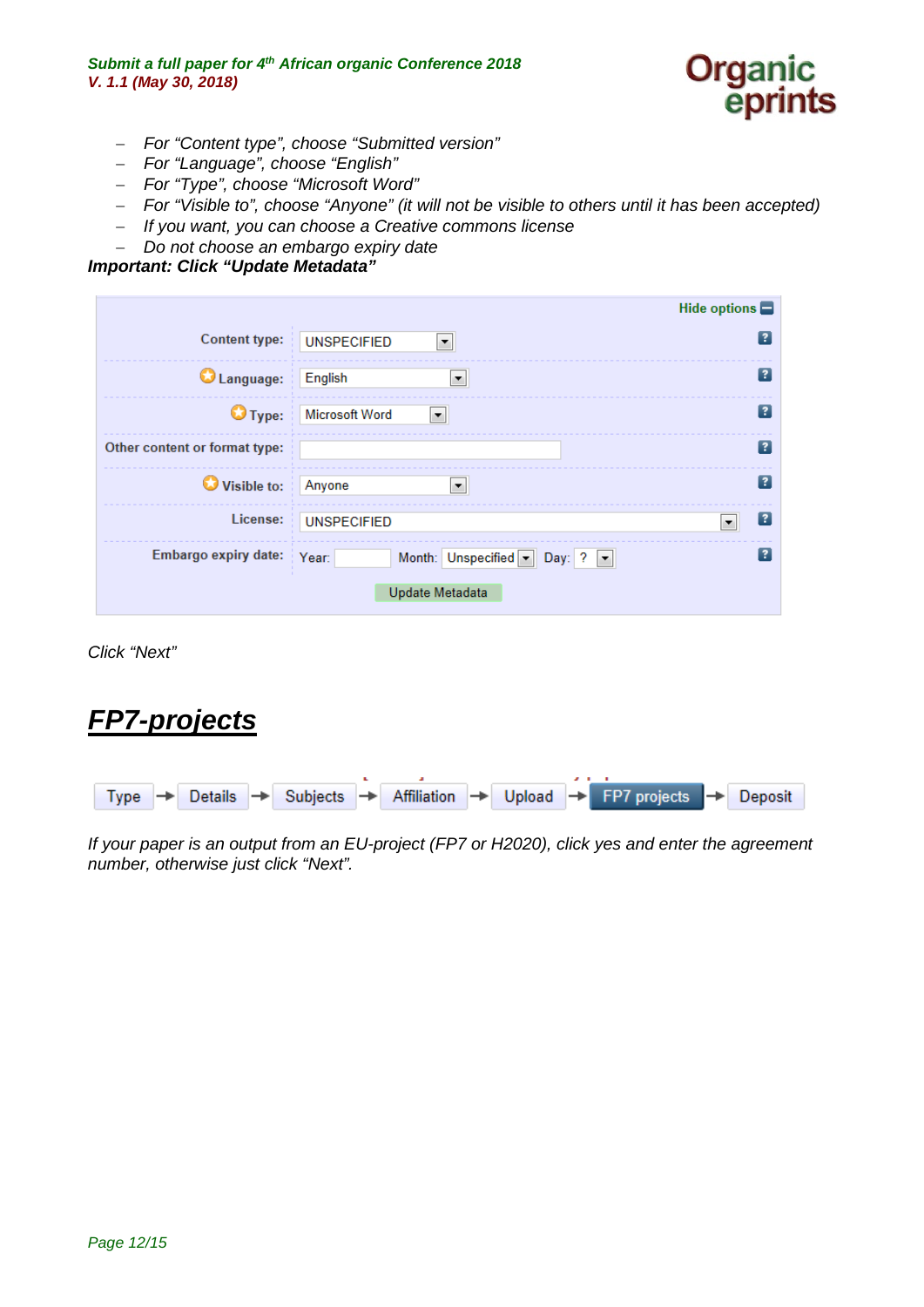

- − *For "Content type", choose "Submitted version"*
- − *For "Language", choose "English"*
- − *For "Type", choose "Microsoft Word"*
- − *For "Visible to", choose "Anyone" (it will not be visible to others until it has been accepted)*
- − *If you want, you can choose a Creative commons license*
- − *Do not choose an embargo expiry date*

#### *Important: Click "Update Metadata"*

|                               | Hide options                                      |    |
|-------------------------------|---------------------------------------------------|----|
|                               | Content type: UNSPECIFIED<br>$\blacktriangledown$ |    |
| Language: English             | ▼                                                 | 13 |
|                               | Type: Microsoft Word<br>E.                        | 13 |
| Other content or format type: |                                                   | 7  |
| Visible to: Anyone            | $\blacktriangledown$                              |    |
|                               | License: UNSPECIFIED                              | 13 |
| Embargo expiry date: Year:    | Month: Unspecified Day: ? -                       |    |
|                               | Update Metadata                                   |    |

*Click "Next"*

## <span id="page-11-0"></span>*FP7-projects*



*If your paper is an output from an EU-project (FP7 or H2020), click yes and enter the agreement number, otherwise just click "Next".*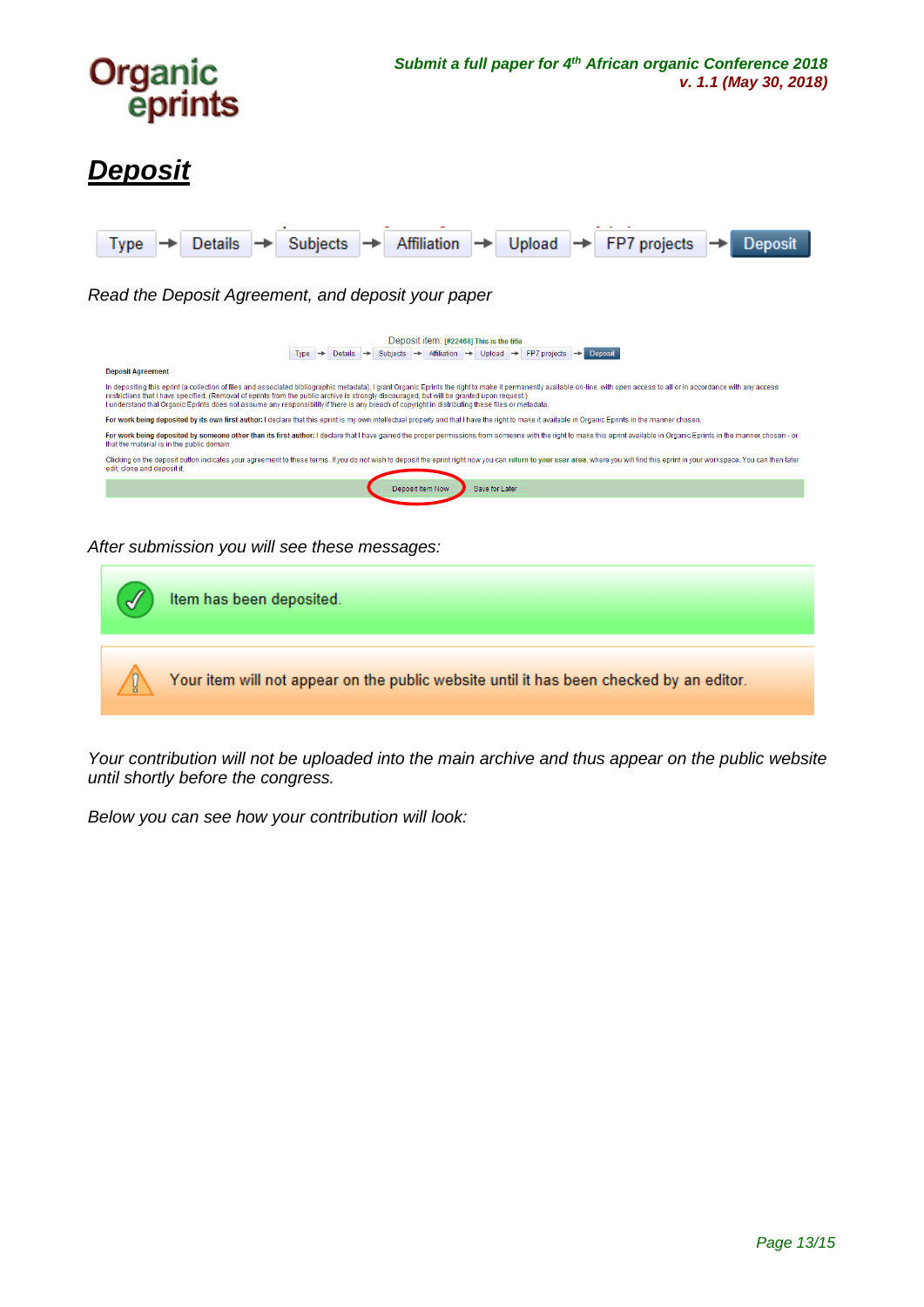

## <span id="page-12-0"></span>*Deposit*



#### *After submission you will see these messages:*

|   | Item has been deposited.                                                                |
|---|-----------------------------------------------------------------------------------------|
| Ц | Your item will not appear on the public website until it has been checked by an editor. |

*Your contribution will not be uploaded into the main archive and thus appear on the public website until shortly before the congress.*

*Below you can see how your contribution will look:*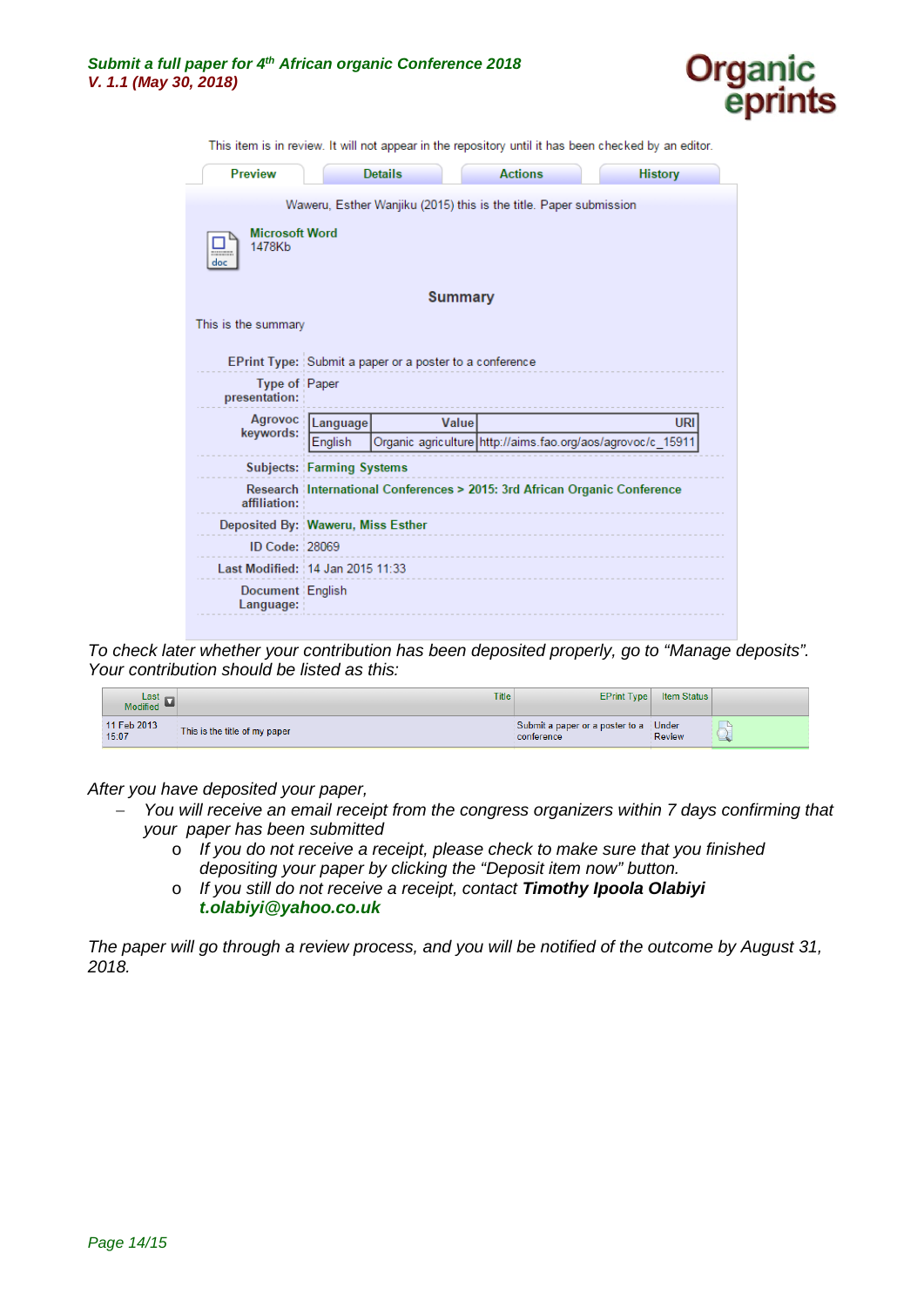

This item is in review. It will not appear in the repository until it has been checked by an editor.

| <b>Preview</b>                         |                                  | <b>Details</b>                                          | <b>Actions</b>                                                            | <b>History</b> |
|----------------------------------------|----------------------------------|---------------------------------------------------------|---------------------------------------------------------------------------|----------------|
|                                        |                                  |                                                         | Waweru, Esther Wanjiku (2015) this is the title. Paper submission         |                |
| <b>Microsoft Word</b><br>1478Kb<br>doc |                                  |                                                         |                                                                           |                |
|                                        |                                  | <b>Summary</b>                                          |                                                                           |                |
| This is the summary                    |                                  |                                                         |                                                                           |                |
|                                        |                                  | EPrint Type: Submit a paper or a poster to a conference |                                                                           |                |
| <b>Type of Paper</b><br>presentation:  |                                  |                                                         |                                                                           |                |
| Agrovoc<br>keywords:                   | Language                         | Value                                                   |                                                                           | URI            |
|                                        | English                          |                                                         | Organic_agriculture http://aims.fao.org/aos/agrovoc/c_15911               |                |
|                                        | <b>Subjects: Farming Systems</b> |                                                         |                                                                           |                |
| affiliation:                           |                                  |                                                         | Research International Conferences > 2015: 3rd African Organic Conference |                |
| Deposited By: Waweru, Miss Esther      |                                  |                                                         |                                                                           |                |
| ID Code: 28069                         |                                  |                                                         |                                                                           |                |
| Last Modified: : 14 Jan 2015 11:33     |                                  |                                                         |                                                                           |                |
| Document English<br>Language:          |                                  |                                                         |                                                                           |                |

*To check later whether your contribution has been deposited properly, go to "Manage deposits". Your contribution should be listed as this:*

| Last $\rightarrow$<br>Modified <b>M</b> | Title                         | <b>EPrint Type</b>                            | <b>Item Status</b>     |  |
|-----------------------------------------|-------------------------------|-----------------------------------------------|------------------------|--|
| 11 Feb 2013<br>15:07                    | This is the title of my paper | Submit a paper or a poster to a<br>conference | Under<br><b>Review</b> |  |

*After you have deposited your paper,* 

- − *You will receive an email receipt from the congress organizers within 7 days confirming that your paper has been submitted*
	- o *If you do not receive a receipt, please check to make sure that you finished depositing your paper by clicking the "Deposit item now" button.*
	- o *If you still do not receive a receipt, contact Timothy Ipoola Olabiyi [t.olabiyi@yahoo.co.uk](mailto:t.olabiyi@yahoo.co.uk-)*

*The paper will go through a review process, and you will be notified of the outcome by August 31, 2018.*